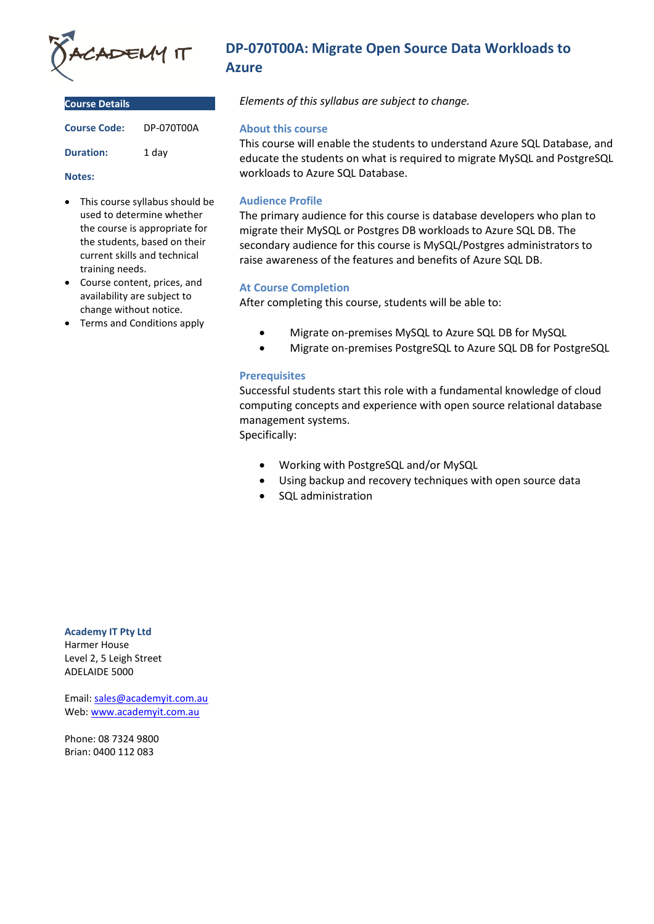

| <b>Course Details</b> |            |
|-----------------------|------------|
| <b>Course Code:</b>   | DP-070T00A |
| <b>Duration:</b>      | 1 dav      |

#### **Notes:**

- This course syllabus should be used to determine whether the course is appropriate for the students, based on their current skills and technical training needs.
- Course content, prices, and availability are subject to change without notice.
- Terms and Conditions apply

# **DP-070T00A: Migrate Open Source Data Workloads to Azure**

*Elements of this syllabus are subject to change.*

#### **About this course**

This course will enable the students to understand Azure SQL Database, and educate the students on what is required to migrate MySQL and PostgreSQL workloads to Azure SQL Database.

# **Audience Profile**

The primary audience for this course is database developers who plan to migrate their MySQL or Postgres DB workloads to Azure SQL DB. The secondary audience for this course is MySQL/Postgres administrators to raise awareness of the features and benefits of Azure SQL DB.

# **At Course Completion**

After completing this course, students will be able to:

- Migrate on-premises MySQL to Azure SQL DB for MySQL
- Migrate on-premises PostgreSQL to Azure SQL DB for PostgreSQL

### **Prerequisites**

Successful students start this role with a fundamental knowledge of cloud computing concepts and experience with open source relational database management systems.

Specifically:

- Working with PostgreSQL and/or MySQL
- Using backup and recovery techniques with open source data
- SQL administration

# **Academy IT Pty Ltd**

Harmer House Level 2, 5 Leigh Street ADELAIDE 5000

Email: [sales@academyit.com.au](mailto:sales@academyit.com.au) Web: [www.academyit.com.au](http://www.academyit.com.au/)

Phone: 08 7324 9800 Brian: 0400 112 083